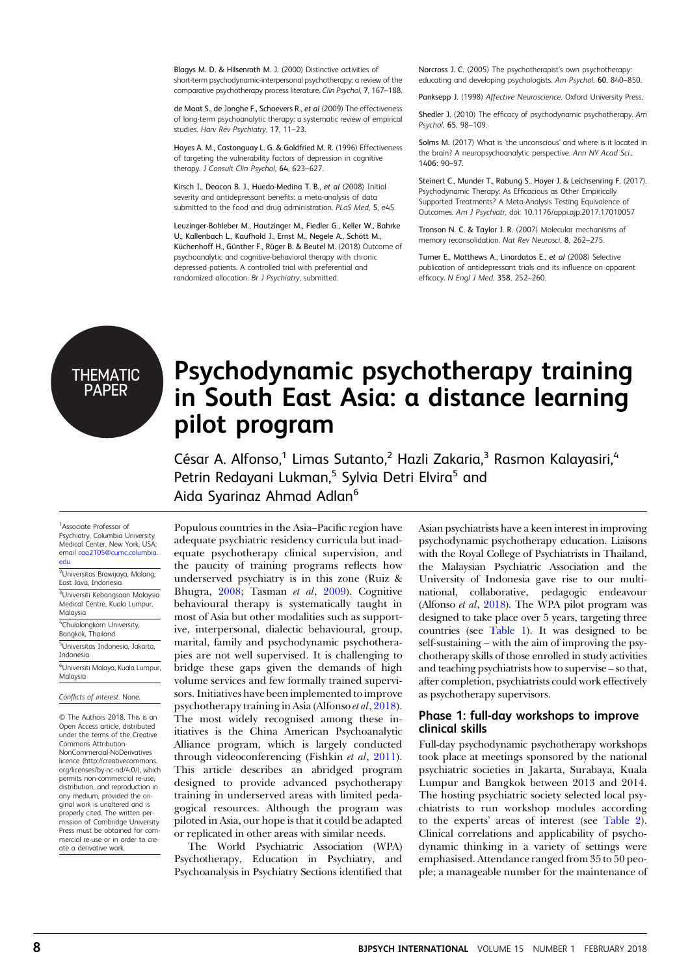<span id="page-0-0"></span>Blagys M. D. & Hilsenroth M. J. (2000) Distinctive activities of short-term psychodynamic-interpersonal psychotherapy: a review of the comparative psychotherapy process literature. Clin Psychol, 7, 167–188.

de Maat S., de Jonghe F., Schoevers R., et al (2009) The effectiveness of long-term psychoanalytic therapy: a systematic review of empirical studies. Harv Rev Psychiatry, 17, 11–23.

Hayes A. M., Castonguay L. G. & Goldfried M. R. (1996) Effectiveness of targeting the vulnerability factors of depression in cognitive therapy. J Consult Clin Psychol, 64, 623–627.

Kirsch I., Deacon B. J., Huedo-Medina T. B., et al (2008) Initial severity and antidepressant benefits: a meta-analysis of data submitted to the food and drug administration. PLoS Med, 5, e45.

Leuzinger-Bohleber M., Hautzinger M., Fiedler G., Keller W., Bahrke U., Kallenbach L., Kaufhold J., Ernst M., Negele A., Schött M., Küchenhoff H., Günther F., Rüger B. & Beutel M. (2018) Outcome of psychoanalytic and cognitive-behavioral therapy with chronic depressed patients. A controlled trial with preferential and randomized allocation. Br J Psychiatry, submitted.

Norcross J. C. (2005) The psychotherapist's own psychotherapy: educating and developing psychologists. Am Psychol, 60, 840–850.

Panksepp J. (1998) Affective Neuroscience. Oxford University Press.

Shedler J. (2010) The efficacy of psychodynamic psychotherapy. Am Psychol, 65, 98–109.

Solms M. (2017) What is 'the unconscious' and where is it located in the brain? A neuropsychoanalytic perspective. Ann NY Acad Sci., 1406: 90–97.

Steinert C., Munder T., Rabung S., Hoyer J. & Leichsenring F. (2017). Psychodynamic Therapy: As Efficacious as Other Empirically Supported Treatments? A Meta-Analysis Testing Equivalence of Outcomes. Am J Psychiatr, doi: 10.1176/appi.ajp.2017.17010057

Tronson N. C. & Taylor J. R. (2007) Molecular mechanisms of memory reconsolidation. Nat Rev Neurosci, 8, 262-275.

Turner E., Matthews A., Linardatos E., et al (2008) Selective publication of antidepressant trials and its influence on apparent efficacy. N Engl J Med, 358, 252–260.



# Psychodynamic psychotherapy training in South East Asia: a distance learning pilot program

César A. Alfonso,<sup>1</sup> Limas Sutanto,<sup>2</sup> Hazli Zakaria,<sup>3</sup> Rasmon Kalayasiri,<sup>4</sup> Petrin Redayani Lukman,<sup>5</sup> Sylvia Detri Elvira<sup>5</sup> and Aida Syarinaz Ahmad Adlan<sup>6</sup>

1 Associate Professor of Psychiatry, Columbia University Medical Center, New York, USA; email [caa2105@cumc.columbia.](mailto:caa2105@cumc.columbia.edu) [edu](mailto:caa2105@cumc.columbia.edu) 2 Universitas Brawijaya, Malang, East Java, Indonesia 3 Universiti Kebangsaan Malaysia Medical Centre, Kuala Lumpur, Malaysia 4 Chulalongkorn University, Bangkok, Thailand 5 Universitas Indonesia, Jakarta, Indonesia 6 Universiti Malaya, Kuala Lumpur, Malaysia Conflicts of interest. None.

© The Authors 2018. This is an Open Access article, distributed under the terms of the Creative Commons Attribution-NonCommercial-NoDerivatives licence (http://creativecommons. org/licenses/by-nc-nd/4.0/), which permits non-commercial re-use, distribution, and reproduction in any medium, provided the original work is unaltered and is properly cited. The written permission of Cambridge University Press must be obtained for commercial re-use or in order to create a derivative work.

Populous countries in the Asia–Pacific region have adequate psychiatric residency curricula but inadequate psychotherapy clinical supervision, and the paucity of training programs reflects how underserved psychiatry is in this zone (Ruiz & Bhugra, 2008; Tasman et al, 2009). Cognitive behavioural therapy is systematically taught in most of Asia but other modalities such as supportive, interpersonal, dialectic behavioural, group, marital, family and psychodynamic psychotherapies are not well supervised. It is challenging to bridge these gaps given the demands of high volume services and few formally trained supervisors. Initiatives have been implemented to improve psychotherapy training in Asia (Alfonso et al, [2018\)](#page-3-0). The most widely recognised among these initiatives is the China American Psychoanalytic Alliance program, which is largely conducted through videoconferencing (Fishkin et al, 2011). This article describes an abridged program designed to provide advanced psychotherapy training in underserved areas with limited pedagogical resources. Although the program was piloted in Asia, our hope is that it could be adapted or replicated in other areas with similar needs.

The World Psychiatric Association (WPA) Psychotherapy, Education in Psychiatry, and Psychoanalysis in Psychiatry Sections identified that

Asian psychiatrists have a keen interest in improving psychodynamic psychotherapy education. Liaisons with the Royal College of Psychiatrists in Thailand, the Malaysian Psychiatric Association and the University of Indonesia gave rise to our multinational, collaborative, pedagogic endeavour (Alfonso et al, [2018](#page-3-0)). The WPA pilot program was designed to take place over 5 years, targeting three countries (see [Table 1](#page-1-0)). It was designed to be self-sustaining – with the aim of improving the psychotherapy skills of those enrolled in study activities and teaching psychiatrists how to supervise – so that, after completion, psychiatrists could work effectively as psychotherapy supervisors.

### Phase 1: full-day workshops to improve clinical skills

Full-day psychodynamic psychotherapy workshops took place at meetings sponsored by the national psychiatric societies in Jakarta, Surabaya, Kuala Lumpur and Bangkok between 2013 and 2014. The hosting psychiatric society selected local psychiatrists to run workshop modules according to the experts' areas of interest (see [Table 2](#page-1-0)). Clinical correlations and applicability of psychodynamic thinking in a variety of settings were emphasised. Attendance ranged from 35 to 50 people; a manageable number for the maintenance of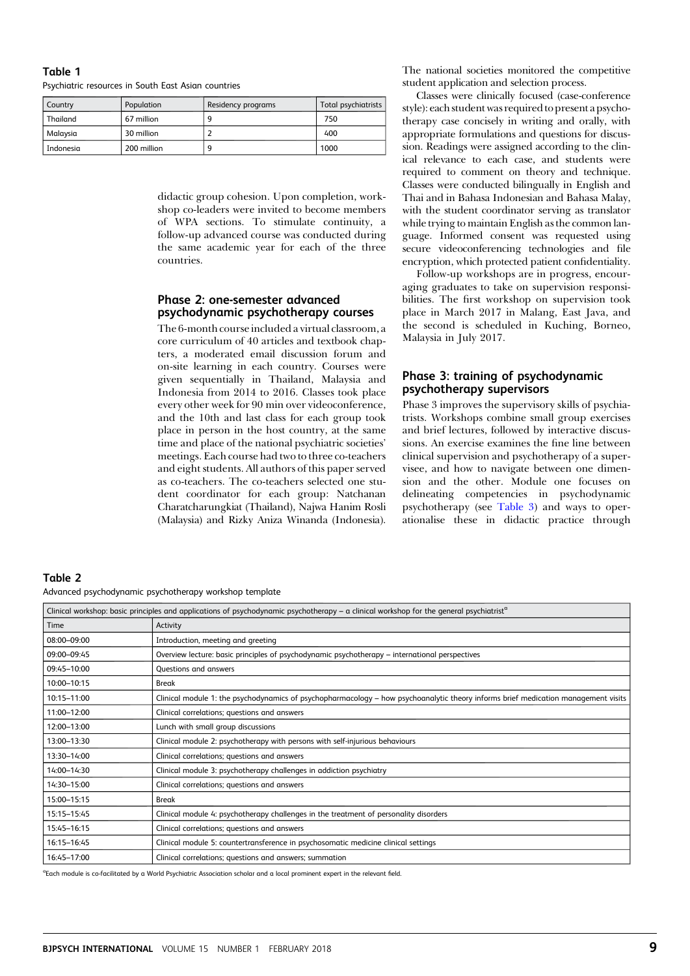<span id="page-1-0"></span>Table 1 Psychiatric resources in South East Asian countries

| Country   | Population  | Residency programs | Total psychiatrists |
|-----------|-------------|--------------------|---------------------|
| Thailand  | 67 million  | q                  | 750                 |
| Malaysia  | 30 million  |                    | 400                 |
| Indonesia | 200 million | q                  | 1000                |

didactic group cohesion. Upon completion, workshop co-leaders were invited to become members of WPA sections. To stimulate continuity, a follow-up advanced course was conducted during the same academic year for each of the three countries.

# Phase 2: one-semester advanced psychodynamic psychotherapy courses

The 6-month course included a virtual classroom, a core curriculum of 40 articles and textbook chapters, a moderated email discussion forum and on-site learning in each country. Courses were given sequentially in Thailand, Malaysia and Indonesia from 2014 to 2016. Classes took place every other week for 90 min over videoconference, and the 10th and last class for each group took place in person in the host country, at the same time and place of the national psychiatric societies' meetings. Each course had two to three co-teachers and eight students. All authors of this paper served as co-teachers. The co-teachers selected one student coordinator for each group: Natchanan Charatcharungkiat (Thailand), Najwa Hanim Rosli (Malaysia) and Rizky Aniza Winanda (Indonesia). The national societies monitored the competitive student application and selection process.

Classes were clinically focused (case-conference style): each student was required to present a psychotherapy case concisely in writing and orally, with appropriate formulations and questions for discussion. Readings were assigned according to the clinical relevance to each case, and students were required to comment on theory and technique. Classes were conducted bilingually in English and Thai and in Bahasa Indonesian and Bahasa Malay, with the student coordinator serving as translator while trying to maintain English as the common language. Informed consent was requested using secure videoconferencing technologies and file encryption, which protected patient confidentiality.

Follow-up workshops are in progress, encouraging graduates to take on supervision responsibilities. The first workshop on supervision took place in March 2017 in Malang, East Java, and the second is scheduled in Kuching, Borneo, Malaysia in July 2017.

# Phase 3: training of psychodynamic psychotherapy supervisors

Phase 3 improves the supervisory skills of psychiatrists. Workshops combine small group exercises and brief lectures, followed by interactive discussions. An exercise examines the fine line between clinical supervision and psychotherapy of a supervisee, and how to navigate between one dimension and the other. Module one focuses on delineating competencies in psychodynamic psychotherapy (see [Table 3](#page-2-0)) and ways to operationalise these in didactic practice through

| Table 2 |                                                        |  |
|---------|--------------------------------------------------------|--|
|         | Advanced psychodynamic psychotherapy workshop template |  |

| Clinical workshop: basic principles and applications of psychodynamic psychotherapy – a clinical workshop for the general psychiatrist <sup>a</sup> |                                                                                                                                    |  |  |
|-----------------------------------------------------------------------------------------------------------------------------------------------------|------------------------------------------------------------------------------------------------------------------------------------|--|--|
| Time                                                                                                                                                | Activity                                                                                                                           |  |  |
| 08:00-09:00                                                                                                                                         | Introduction, meeting and greeting                                                                                                 |  |  |
| 09:00-09:45                                                                                                                                         | Overview lecture: basic principles of psychodynamic psychotherapy - international perspectives                                     |  |  |
| 09:45-10:00                                                                                                                                         | <b>Ouestions and answers</b>                                                                                                       |  |  |
| 10:00-10:15                                                                                                                                         | Break                                                                                                                              |  |  |
| 10:15-11:00                                                                                                                                         | Clinical module 1: the psychodynamics of psychopharmacology – how psychoanalytic theory informs brief medication management visits |  |  |
| 11:00-12:00                                                                                                                                         | Clinical correlations; questions and answers                                                                                       |  |  |
| 12:00-13:00                                                                                                                                         | Lunch with small group discussions                                                                                                 |  |  |
| 13:00-13:30                                                                                                                                         | Clinical module 2: psychotherapy with persons with self-injurious behaviours                                                       |  |  |
| 13:30-14:00                                                                                                                                         | Clinical correlations; questions and answers                                                                                       |  |  |
| 14:00-14:30                                                                                                                                         | Clinical module 3: psychotherapy challenges in addiction psychiatry                                                                |  |  |
| 14:30-15:00                                                                                                                                         | Clinical correlations; questions and answers                                                                                       |  |  |
| 15:00-15:15                                                                                                                                         | <b>Break</b>                                                                                                                       |  |  |
| 15:15-15:45                                                                                                                                         | Clinical module 4: psychotherapy challenges in the treatment of personality disorders                                              |  |  |
| 15:45-16:15                                                                                                                                         | Clinical correlations; questions and answers                                                                                       |  |  |
| 16:15-16:45                                                                                                                                         | Clinical module 5: countertransference in psychosomatic medicine clinical settings                                                 |  |  |
| 16:45-17:00                                                                                                                                         | Clinical correlations; questions and answers; summation                                                                            |  |  |

a Each module is co-facilitated by a World Psychiatric Association scholar and a local prominent expert in the relevant field.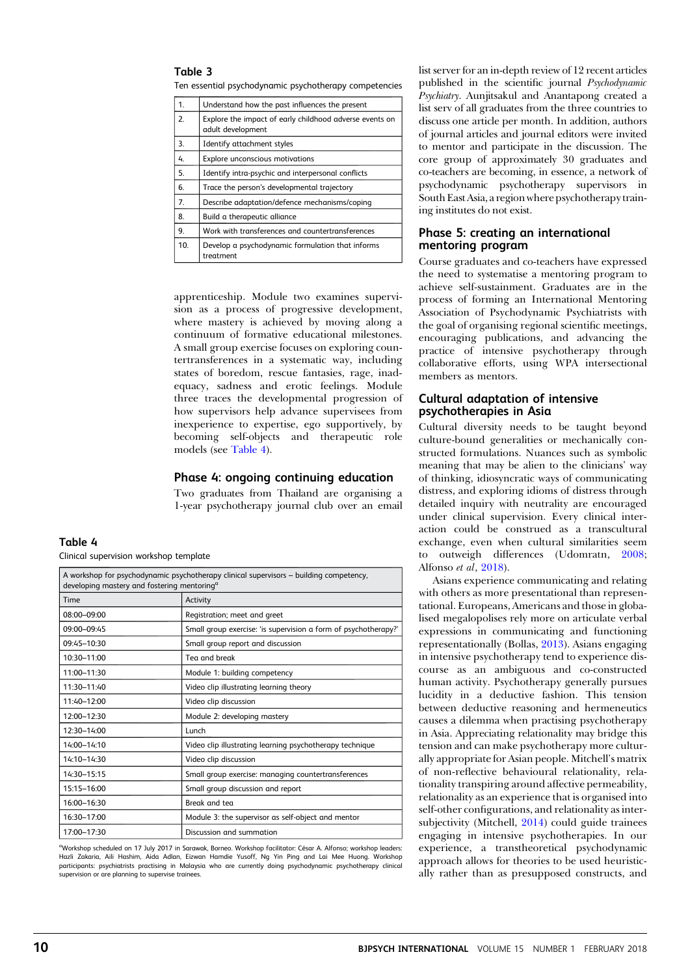# <span id="page-2-0"></span>Table 3

Ten essential psychodynamic psychotherapy competencies

| 1.              | Understand how the past influences the present                               |
|-----------------|------------------------------------------------------------------------------|
| $\mathcal{P}$   | Explore the impact of early childhood adverse events on<br>adult development |
| 3.              | Identify attachment styles                                                   |
| 4.              | <b>Explore unconscious motivations</b>                                       |
| 5.              | Identify intra-psychic and interpersonal conflicts                           |
| 6.              | Trace the person's developmental trajectory                                  |
| 7.              | Describe adaptation/defence mechanisms/coping                                |
| 8.              | Build a therapeutic alliance                                                 |
| 9.              | Work with transferences and countertransferences                             |
| 10 <sub>1</sub> | Develop a psychodynamic formulation that informs<br>treatment                |

apprenticeship. Module two examines supervision as a process of progressive development, where mastery is achieved by moving along a continuum of formative educational milestones. A small group exercise focuses on exploring countertransferences in a systematic way, including states of boredom, rescue fantasies, rage, inadequacy, sadness and erotic feelings. Module three traces the developmental progression of how supervisors help advance supervisees from inexperience to expertise, ego supportively, by becoming self-objects and therapeutic role models (see Table 4).

# Phase 4: ongoing continuing education

Two graduates from Thailand are organising a 1-year psychotherapy journal club over an email

#### Table 4

Clinical supervision workshop template

| A workshop for psychodynamic psychotherapy clinical supervisors - building competency,<br>developing mastery and fostering mentoring <sup>a</sup> |                                                                 |  |
|---------------------------------------------------------------------------------------------------------------------------------------------------|-----------------------------------------------------------------|--|
| Time                                                                                                                                              | Activity                                                        |  |
| 08:00-09:00                                                                                                                                       | Registration; meet and greet                                    |  |
| 09:00-09:45                                                                                                                                       | Small group exercise: 'is supervision a form of psychotherapy?' |  |
| 09:45-10:30                                                                                                                                       | Small group report and discussion                               |  |
| 10:30-11:00                                                                                                                                       | Tea and break                                                   |  |
| 11:00-11:30                                                                                                                                       | Module 1: building competency                                   |  |
| 11:30-11:40                                                                                                                                       | Video clip illustrating learning theory                         |  |
| 11:40-12:00                                                                                                                                       | Video clip discussion                                           |  |
| 12:00-12:30                                                                                                                                       | Module 2: developing mastery                                    |  |
| 12:30-14:00                                                                                                                                       | Lunch                                                           |  |
| 14:00-14:10                                                                                                                                       | Video clip illustrating learning psychotherapy technique        |  |
| 14:10-14:30                                                                                                                                       | Video clip discussion                                           |  |
| 14:30-15:15                                                                                                                                       | Small group exercise: managing countertransferences             |  |
| 15:15-16:00                                                                                                                                       | Small group discussion and report                               |  |
| 16:00-16:30                                                                                                                                       | Break and tea                                                   |  |
| 16:30-17:00                                                                                                                                       | Module 3: the supervisor as self-object and mentor              |  |
| 17:00-17:30                                                                                                                                       | Discussion and summation                                        |  |

a Workshop scheduled on 17 July 2017 in Sarawak, Borneo. Workshop facilitator: César A. Alfonso; workshop leaders: Hazli Zakaria, Aili Hashim, Aida Adlan, Eizwan Hamdie Yusoff, Ng Yin Ping and Lai Mee Huong. Workshop participants: psychiatrists practising in Malaysia who are currently doing psychodynamic psychotherapy clinical supervision or are planning to supervise trainees

list server for an in-depth review of 12 recent articles published in the scientific journal Psychodynamic Psychiatry. Aunjitsakul and Anantapong created a list serv of all graduates from the three countries to discuss one article per month. In addition, authors of journal articles and journal editors were invited to mentor and participate in the discussion. The core group of approximately 30 graduates and co-teachers are becoming, in essence, a network of psychodynamic psychotherapy supervisors in South East Asia, a region where psychotherapy training institutes do not exist.

# Phase 5: creating an international mentoring program

Course graduates and co-teachers have expressed the need to systematise a mentoring program to achieve self-sustainment. Graduates are in the process of forming an International Mentoring Association of Psychodynamic Psychiatrists with the goal of organising regional scientific meetings, encouraging publications, and advancing the practice of intensive psychotherapy through collaborative efforts, using WPA intersectional members as mentors.

### Cultural adaptation of intensive psychotherapies in Asia

Cultural diversity needs to be taught beyond culture-bound generalities or mechanically constructed formulations. Nuances such as symbolic meaning that may be alien to the clinicians' way of thinking, idiosyncratic ways of communicating distress, and exploring idioms of distress through detailed inquiry with neutrality are encouraged under clinical supervision. Every clinical interaction could be construed as a transcultural exchange, even when cultural similarities seem to outweigh differences (Udomratn, [2008;](#page-0-0) Alfonso et al, [2018\)](#page-3-0).

Asians experience communicating and relating with others as more presentational than representational. Europeans, Americans and those in globalised megalopolises rely more on articulate verbal expressions in communicating and functioning representationally (Bollas, [2013\)](#page-0-0). Asians engaging in intensive psychotherapy tend to experience discourse as an ambiguous and co-constructed human activity. Psychotherapy generally pursues lucidity in a deductive fashion. This tension between deductive reasoning and hermeneutics causes a dilemma when practising psychotherapy in Asia. Appreciating relationality may bridge this tension and can make psychotherapy more culturally appropriate for Asian people. Mitchell's matrix of non-reflective behavioural relationality, relationality transpiring around affective permeability, relationality as an experience that is organised into self-other configurations, and relationality as intersubjectivity (Mitchell, [2014](#page-0-0)) could guide trainees engaging in intensive psychotherapies. In our experience, a transtheoretical psychodynamic approach allows for theories to be used heuristically rather than as presupposed constructs, and